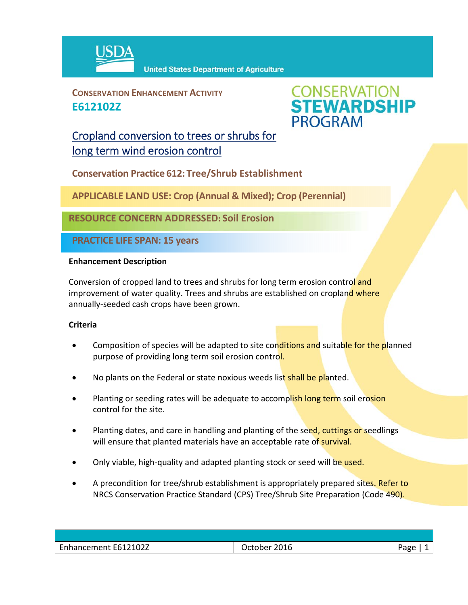

**CONSERVATION ENHANCEMENT ACTIVITY E612102Z**



## Cropland conversion to trees or shrubs for long term wind erosion control

**Conservation Practice 612: Tree/Shrub Establishment**

**APPLICABLE LAND USE: Crop (Annual & Mixed); Crop (Perennial)**

**RESOURCE CONCERN ADDRESSED: Soil Erosion**

**PRACTICE LIFE SPAN: 15 years**

## **Enhancement Description**

Conversion of cropped land to trees and shrubs for long term erosion control and improvement of water quality. Trees and shrubs are established on cropland where annually‐seeded cash crops have been grown.

## **Criteria**

- Composition of species will be adapted to site conditions and suitable for the planned purpose of providing long term soil erosion control.
- No plants on the Federal or state noxious weeds list shall be planted.
- Planting or seeding rates will be adequate to accomplish long term soil erosion control for the site.
- Planting dates, and care in handling and planting of the seed, cuttings or seedlings will ensure that planted materials have an acceptable rate of survival.
- Only viable, high-quality and adapted planting stock or seed will be used.
- A precondition for tree/shrub establishment is appropriately prepared sites. Refer to NRCS Conservation Practice Standard (CPS) Tree/Shrub Site Preparation (Code 490).

| Enhancement E612102Z | 2016<br>age<br>October |  |
|----------------------|------------------------|--|